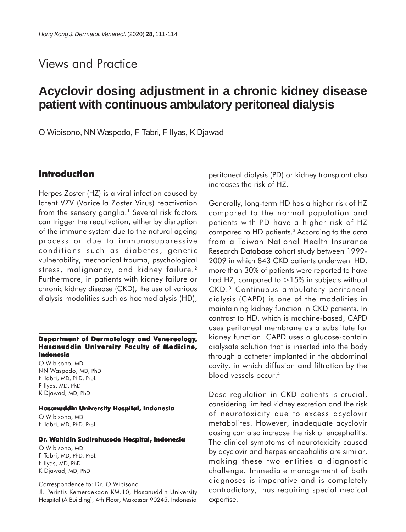## Views and Practice

# **Acyclovir dosing adjustment in a chronic kidney disease patient with continuous ambulatory peritoneal dialysis**

O Wibisono, NN Waspodo, F Tabri, F Ilyas, K Djawad

#### **Introduction**

Herpes Zoster (HZ) is a viral infection caused by latent VZV (Varicella Zoster Virus) reactivation from the sensory ganglia.<sup>1</sup> Several risk factors can trigger the reactivation, either by disruption of the immune system due to the natural ageing process or due to immunosuppressive conditions such as diabetes, genetic vulnerability, mechanical trauma, psychological stress, malignancy, and kidney failure.2 Furthermore, in patients with kidney failure or chronic kidney disease (CKD), the use of various dialysis modalities such as haemodialysis (HD),

#### **Department of Dermatology and Venereology, Hasanuddin University Faculty of Medicine, Indonesia**

O Wibisono, MD NN Waspodo, MD, PhD F Tabri, MD, PhD, Prof. F Ilyas, MD, PhD K Djawad, MD, PhD

#### **Hasanuddin University Hospital, Indonesia**

O Wibisono, MD F Tabri, MD, PhD, Prof.

#### **Dr. Wahidin Sudirohusodo Hospital, Indonesia**

O Wibisono, MD F Tabri, MD, PhD, Prof. F Ilyas, MD, PhD K Djawad, MD, PhD

Correspondence to: Dr. O Wibisono Jl. Perintis Kemerdekaan KM.10, Hasanuddin University Hospital (A Building), 4th Floor, Makassar 90245, Indonesia

peritoneal dialysis (PD) or kidney transplant also increases the risk of HZ.

Generally, long-term HD has a higher risk of HZ compared to the normal population and patients with PD have a higher risk of HZ compared to HD patients.3 According to the data from a Taiwan National Health Insurance Research Database cohort study between 1999- 2009 in which 843 CKD patients underwent HD, more than 30% of patients were reported to have had HZ, compared to  $>15\%$  in subjects without CKD.3 Continuous ambulatory peritoneal dialysis (CAPD) is one of the modalities in maintaining kidney function in CKD patients. In contrast to HD, which is machine-based, CAPD uses peritoneal membrane as a substitute for kidney function. CAPD uses a glucose-contain dialysate solution that is inserted into the body through a catheter implanted in the abdominal cavity, in which diffusion and filtration by the blood vessels occur.4

Dose regulation in CKD patients is crucial, considering limited kidney excretion and the risk of neurotoxicity due to excess acyclovir metabolites. However, inadequate acyclovir dosing can also increase the risk of encephalitis. The clinical symptoms of neurotoxicity caused by acyclovir and herpes encephalitis are similar, making these two entities a diagnostic challenge. Immediate management of both diagnoses is imperative and is completely contradictory, thus requiring special medical expertise.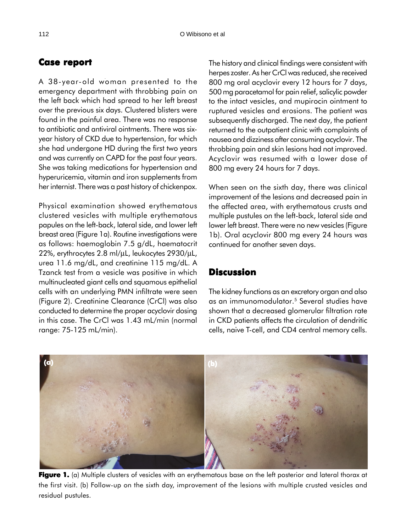### **Case report Case**

A 38-year-old woman presented to the emergency department with throbbing pain on the left back which had spread to her left breast over the previous six days. Clustered blisters were found in the painful area. There was no response to antibiotic and antiviral ointments. There was sixyear history of CKD due to hypertension, for which she had undergone HD during the first two years and was currently on CAPD for the past four years. She was taking medications for hypertension and hyperuricemia, vitamin and iron supplements from her internist. There was a past history of chickenpox.

Physical examination showed erythematous clustered vesicles with multiple erythematous papules on the left-back, lateral side, and lower left breast area (Figure 1a). Routine investigations were as follows: haemoglobin 7.5 g/dL, haematocrit 22%, erythrocytes 2.8 ml/µL, leukocytes 2930/µL, urea 11.6 mg/dL, and creatinine 115 mg/dL. A Tzanck test from a vesicle was positive in which multinucleated giant cells and squamous epithelial cells with an underlying PMN infiltrate were seen (Figure 2). Creatinine Clearance (CrCl) was also conducted to determine the proper acyclovir dosing in this case. The CrCl was 1.43 mL/min (normal range: 75-125 mL/min).

The history and clinical findings were consistent with herpes zoster. As her CrCl was reduced, she received 800 mg oral acyclovir every 12 hours for 7 days, 500 mg paracetamol for pain relief, salicylic powder to the intact vesicles, and mupirocin ointment to ruptured vesicles and erosions. The patient was subsequently discharged. The next day, the patient returned to the outpatient clinic with complaints of nausea and dizziness after consuming acyclovir. The throbbing pain and skin lesions had not improved. Acyclovir was resumed with a lower dose of 800 mg every 24 hours for 7 days.

When seen on the sixth day, there was clinical improvement of the lesions and decreased pain in the affected area, with erythematous crusts and multiple pustules on the left-back, lateral side and lower left breast. There were no new vesicles (Figure 1b). Oral acyclovir 800 mg every 24 hours was continued for another seven days.

### **Discussion**

The kidney functions as an excretory organ and also as an immunomodulator.<sup>5</sup> Several studies have shown that a decreased glomerular filtration rate in CKD patients affects the circulation of dendritic cells, naive T-cell, and CD4 central memory cells.



**Figure 1.** (a) Multiple clusters of vesicles with an erythematous base on the left posterior and lateral thorax at the first visit. (b) Follow-up on the sixth day, improvement of the lesions with multiple crusted vesicles and residual pustules.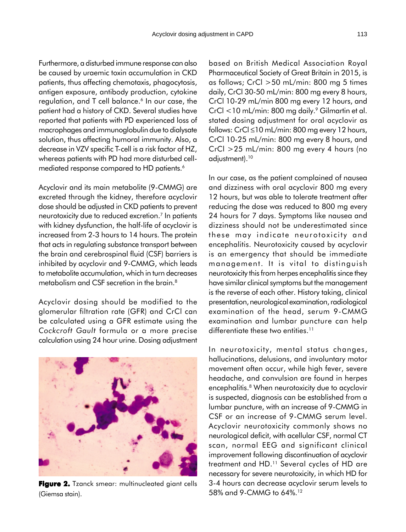Furthermore, a disturbed immune response can also be caused by uraemic toxin accumulation in CKD patients, thus affecting chemotaxis, phagocytosis, antigen exposure, antibody production, cytokine regulation, and  $T$  cell balance.<sup>6</sup> In our case, the patient had a history of CKD. Several studies have reported that patients with PD experienced loss of macrophages and immunoglobulin due to dialysate solution, thus affecting humoral immunity. Also, a decrease in VZV specific T-cell is a risk factor of HZ, whereas patients with PD had more disturbed cellmediated response compared to HD patients.<sup>6</sup>

Acyclovir and its main metabolite (9-CMMG) are excreted through the kidney, therefore acyclovir dose should be adjusted in CKD patients to prevent neurotoxicity due to reduced excretion.7 In patients with kidney dysfunction, the half-life of acyclovir is increased from 2-3 hours to 14 hours. The protein that acts in regulating substance transport between the brain and cerebrospinal fluid (CSF) barriers is inhibited by acyclovir and 9-CMMG, which leads to metabolite accumulation, which in turn decreases metabolism and CSF secretion in the brain.<sup>8</sup>

Acyclovir dosing should be modified to the glomerular filtration rate (GFR) and CrCl can be calculated using a GFR estimate using the *Cockcroft Gault* formula or a more precise calculation using 24 hour urine. Dosing adjustment



**Figure 2.** Tzanck smear: multinucleated giant cells (Giemsa stain).

based on British Medical Association Royal Pharmaceutical Society of Great Britain in 2015, is as follows; CrCl >50 mL/min: 800 mg 5 times daily, CrCl 30-50 mL/min: 800 mg every 8 hours, CrCl 10-29 mL/min 800 mg every 12 hours, and  $CrCl < 10$  mL/min: 800 mg daily.<sup>9</sup> Gilmartin et al. stated dosing adjustment for oral acyclovir as follows: CrCl ≤10 mL/min: 800 mg every 12 hours, CrCl 10-25 mL/min: 800 mg every 8 hours, and CrCl >25 mL/min: 800 mg every 4 hours (no adjustment).10

In our case, as the patient complained of nausea and dizziness with oral acyclovir 800 mg every 12 hours, but was able to tolerate treatment after reducing the dose was reduced to 800 mg every 24 hours for 7 days. Symptoms like nausea and dizziness should not be underestimated since these may indicate neurotoxicity and encephalitis. Neurotoxicity caused by acyclovir is an emergency that should be immediate management. It is vital to distinguish neurotoxicity this from herpes encephalitis since they have similar clinical symptoms but the management is the reverse of each other. History taking, clinical presentation, neurological examination, radiological examination of the head, serum 9-CMMG examination and lumbar puncture can help differentiate these two entities.<sup>11</sup>

In neurotoxicity, mental status changes, hallucinations, delusions, and involuntary motor movement often occur, while high fever, severe headache, and convulsion are found in herpes encephalitis.8 When neurotoxicity due to acyclovir is suspected, diagnosis can be established from a lumbar puncture, with an increase of 9-CMMG in CSF or an increase of 9-CMMG serum level. Acyclovir neurotoxicity commonly shows no neurological deficit, with acellular CSF, normal CT scan, normal EEG and significant clinical improvement following discontinuation of acyclovir treatment and HD.<sup>11</sup> Several cycles of HD are necessary for severe neurotoxicity, in which HD for 3-4 hours can decrease acyclovir serum levels to 58% and 9-CMMG to 64%.12